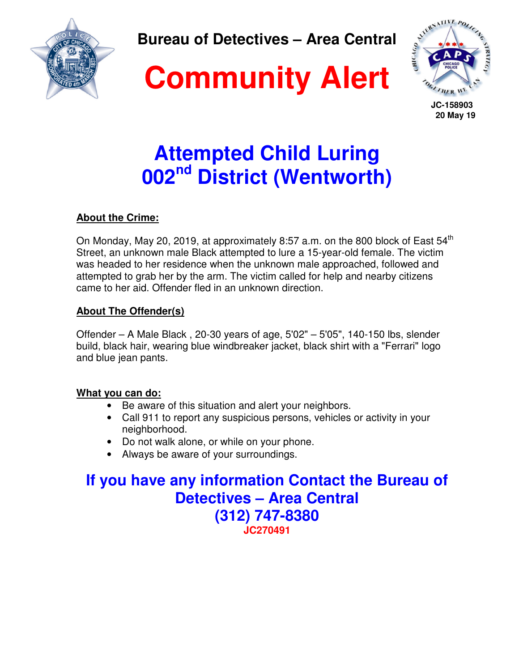

**Bureau of Detectives – Area Central** 

# **Community Alert**



 **JC-158903 20 May 19** 

## **Attempted Child Luring 002nd District (Wentworth)**

### **About the Crime:**

On Monday, May 20, 2019, at approximately 8:57 a.m. on the 800 block of East  $54<sup>th</sup>$ Street, an unknown male Black attempted to lure a 15-year-old female. The victim was headed to her residence when the unknown male approached, followed and attempted to grab her by the arm. The victim called for help and nearby citizens came to her aid. Offender fled in an unknown direction.

### **About The Offender(s)**

Offender – A Male Black , 20-30 years of age, 5'02" – 5'05", 140-150 lbs, slender build, black hair, wearing blue windbreaker jacket, black shirt with a "Ferrari" logo and blue jean pants.

### **What you can do:**

- Be aware of this situation and alert your neighbors.
- Call 911 to report any suspicious persons, vehicles or activity in your neighborhood.
- Do not walk alone, or while on your phone.
- Always be aware of your surroundings.

**If you have any information Contact the Bureau of Detectives – Area Central (312) 747-8380 JC270491**